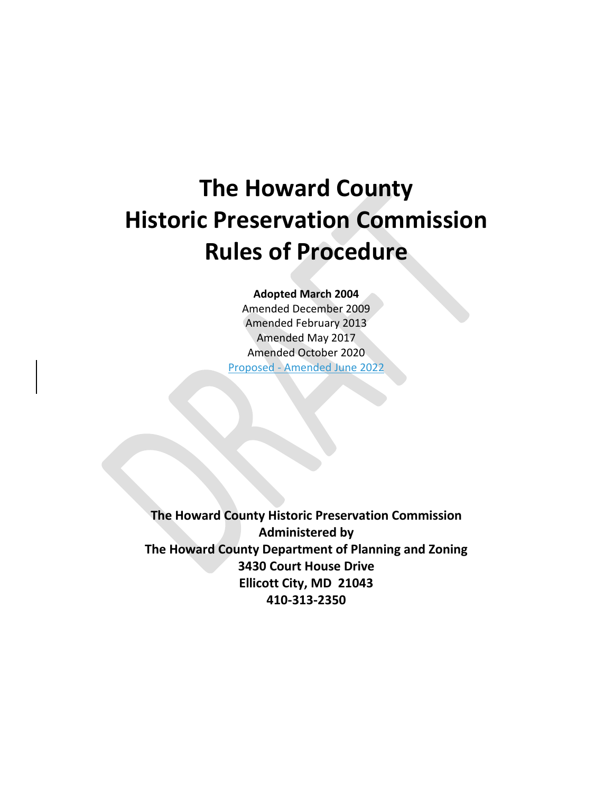# **The Howard County Historic Preservation Commission Rules of Procedure**

**Adopted March 2004**

Amended December 2009 Amended February 2013 Amended May 2017 Amended October 2020 Proposed - Amended June 2022

**The Howard County Historic Preservation Commission Administered by The Howard County Department of Planning and Zoning 3430 Court House Drive Ellicott City, MD 21043 410-313-2350**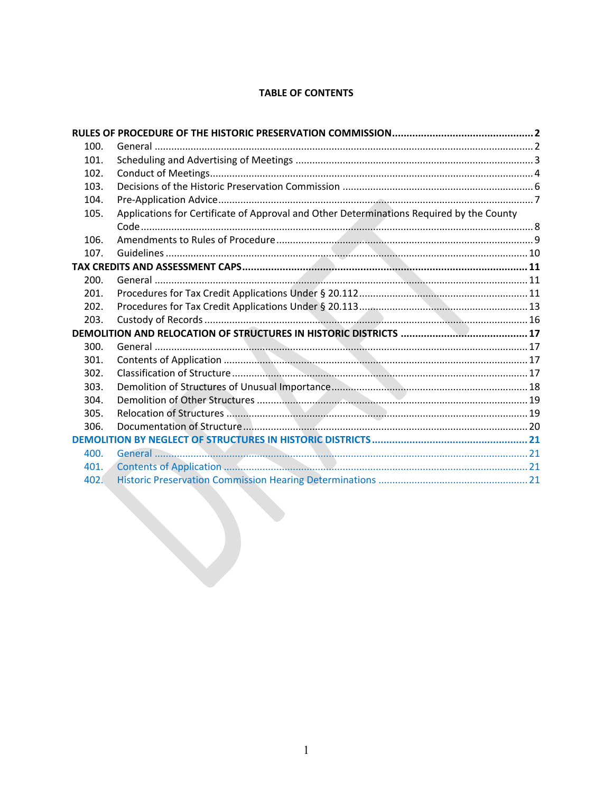# **TABLE OF CONTENTS**

<span id="page-1-0"></span>

| 100. |                                                                                          |  |
|------|------------------------------------------------------------------------------------------|--|
| 101. |                                                                                          |  |
| 102. |                                                                                          |  |
| 103. |                                                                                          |  |
| 104. |                                                                                          |  |
| 105. | Applications for Certificate of Approval and Other Determinations Required by the County |  |
|      |                                                                                          |  |
| 106. |                                                                                          |  |
| 107. |                                                                                          |  |
|      |                                                                                          |  |
| 200. |                                                                                          |  |
| 201. |                                                                                          |  |
| 202. |                                                                                          |  |
| 203. |                                                                                          |  |
|      |                                                                                          |  |
| 300. |                                                                                          |  |
| 301. |                                                                                          |  |
| 302. |                                                                                          |  |
| 303. |                                                                                          |  |
| 304. |                                                                                          |  |
| 305. |                                                                                          |  |
| 306. |                                                                                          |  |
|      |                                                                                          |  |
| 400. |                                                                                          |  |
| 401. |                                                                                          |  |
| 402. |                                                                                          |  |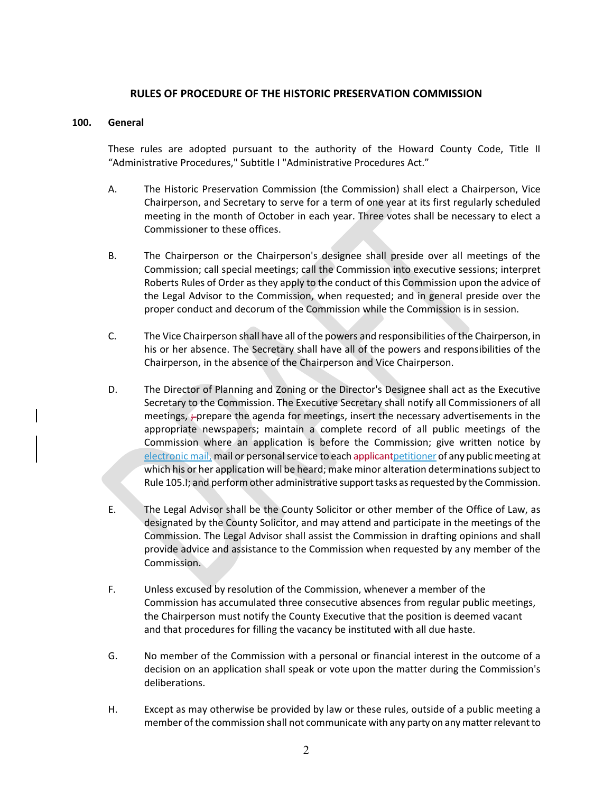# **RULES OF PROCEDURE OF THE HISTORIC PRESERVATION COMMISSION**

# <span id="page-2-0"></span>**100. General**

These rules are adopted pursuant to the authority of the Howard County Code, Title II "Administrative Procedures," Subtitle I "Administrative Procedures Act."

- A. The Historic Preservation Commission (the Commission) shall elect a Chairperson, Vice Chairperson, and Secretary to serve for a term of one year at its first regularly scheduled meeting in the month of October in each year. Three votes shall be necessary to elect a Commissioner to these offices.
- B. The Chairperson or the Chairperson's designee shall preside over all meetings of the Commission; call special meetings; call the Commission into executive sessions; interpret Roberts Rules of Order as they apply to the conduct of this Commission upon the advice of the Legal Advisor to the Commission, when requested; and in general preside over the proper conduct and decorum of the Commission while the Commission is in session.
- C. The Vice Chairperson shall have all of the powers and responsibilities of the Chairperson, in his or her absence. The Secretary shall have all of the powers and responsibilities of the Chairperson, in the absence of the Chairperson and Vice Chairperson.
- D. The Director of Planning and Zoning or the Director's Designee shall act as the Executive Secretary to the Commission. The Executive Secretary shall notify all Commissioners of all meetings,  $\div$  prepare the agenda for meetings, insert the necessary advertisements in the appropriate newspapers; maintain a complete record of all public meetings of the Commission where an application is before the Commission; give written notice by electronic mail, mail or personal service to each applicant petitioner of any public meeting at which his or her application will be heard; make minor alteration determinations subject to Rule 105.I; and perform other administrative support tasks as requested by the Commission.
- E. The Legal Advisor shall be the County Solicitor or other member of the Office of Law, as designated by the County Solicitor, and may attend and participate in the meetings of the Commission. The Legal Advisor shall assist the Commission in drafting opinions and shall provide advice and assistance to the Commission when requested by any member of the Commission.
- F. Unless excused by resolution of the Commission, whenever a member of the Commission has accumulated three consecutive absences from regular public meetings, the Chairperson must notify the County Executive that the position is deemed vacant and that procedures for filling the vacancy be instituted with all due haste.
- G. No member of the Commission with a personal or financial interest in the outcome of a decision on an application shall speak or vote upon the matter during the Commission's deliberations.
- H. Except as may otherwise be provided by law or these rules, outside of a public meeting a member of the commission shall not communicate with any party on any matter relevant to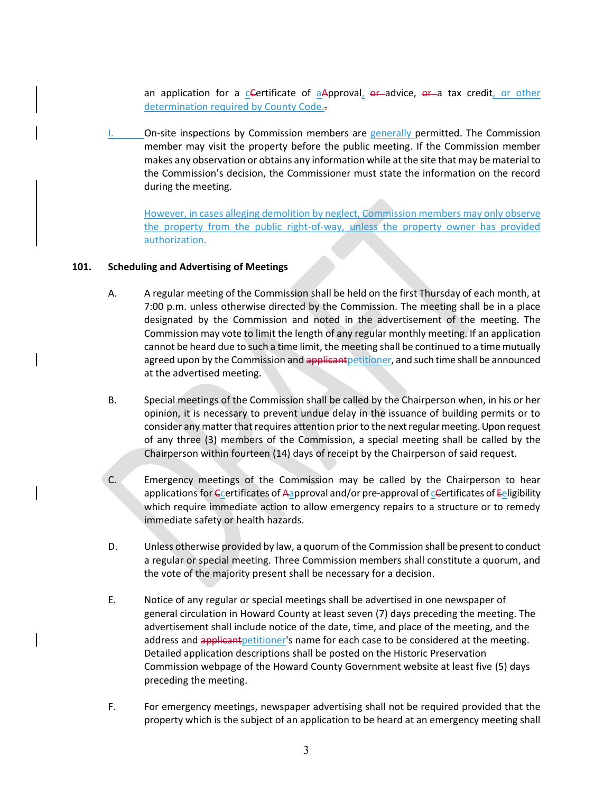an application for a cCertificate of  $a$ Approval,  $e$ r-advice,  $e$ r-a tax credit, or other determination required by County Code..

On-site inspections by Commission members are generally permitted. The Commission member may visit the property before the public meeting. If the Commission member makes any observation or obtains any information while at the site that may be material to the Commission's decision, the Commissioner must state the information on the record during the meeting.

However, in cases alleging demolition by neglect, Commission members may only observe the property from the public right-of-way, unless the property owner has provided authorization.

# <span id="page-3-0"></span>**101. Scheduling and Advertising of Meetings**

- A. A regular meeting of the Commission shall be held on the first Thursday of each month, at 7:00 p.m. unless otherwise directed by the Commission. The meeting shall be in a place designated by the Commission and noted in the advertisement of the meeting. The Commission may vote to limit the length of any regular monthly meeting. If an application cannot be heard due to such a time limit, the meeting shall be continued to a time mutually agreed upon by the Commission and applicant petitioner, and such time shall be announced at the advertised meeting.
- B. Special meetings of the Commission shall be called by the Chairperson when, in his or her opinion, it is necessary to prevent undue delay in the issuance of building permits or to consider any matter that requires attention prior to the next regular meeting. Upon request of any three (3) members of the Commission, a special meeting shall be called by the Chairperson within fourteen (14) days of receipt by the Chairperson of said request.
- C. Emergency meetings of the Commission may be called by the Chairperson to hear applications for Certificates of Aapproval and/or pre-approval of cCertificates of Eeligibility which require immediate action to allow emergency repairs to a structure or to remedy immediate safety or health hazards.
- D. Unless otherwise provided by law, a quorum of the Commission shall be present to conduct a regular or special meeting. Three Commission members shall constitute a quorum, and the vote of the majority present shall be necessary for a decision.
- E. Notice of any regular or special meetings shall be advertised in one newspaper of general circulation in Howard County at least seven (7) days preceding the meeting. The advertisement shall include notice of the date, time, and place of the meeting, and the address and applicant petitioner's name for each case to be considered at the meeting. Detailed application descriptions shall be posted on the Historic Preservation Commission webpage of the Howard County Government website at least five (5) days preceding the meeting.
- F. For emergency meetings, newspaper advertising shall not be required provided that the property which is the subject of an application to be heard at an emergency meeting shall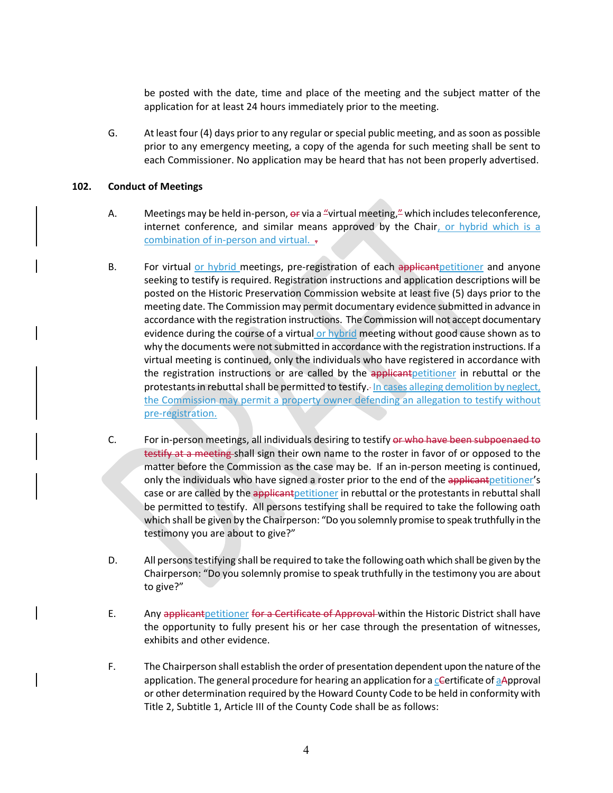be posted with the date, time and place of the meeting and the subject matter of the application for at least 24 hours immediately prior to the meeting.

G. At least four (4) days prior to any regular or special public meeting, and as soon as possible prior to any emergency meeting, a copy of the agenda for such meeting shall be sent to each Commissioner. No application may be heard that has not been properly advertised.

# <span id="page-4-0"></span>**102. Conduct of Meetings**

- A. Meetings may be held in-person, or via a "virtual meeting," which includes teleconference, internet conference, and similar means approved by the Chair, or hybrid which is a combination of in-person and virtual. -
- B. For virtual or hybrid meetings, pre-registration of each applicant petitioner and anyone seeking to testify is required. Registration instructions and application descriptions will be posted on the Historic Preservation Commission website at least five (5) days prior to the meeting date. The Commission may permit documentary evidence submitted in advance in accordance with the registration instructions. The Commission will not accept documentary evidence during the course of a virtual or hybrid meeting without good cause shown as to why the documents were not submitted in accordance with the registration instructions. If a virtual meeting is continued, only the individuals who have registered in accordance with the registration instructions or are called by the applicant petitioner in rebuttal or the protestants in rebuttal shall be permitted to testify. In cases alleging demolition by neglect, the Commission may permit a property owner defending an allegation to testify without pre-registration.
- C. For in-person meetings, all individuals desiring to testify or who have been subpoenaed to testify at a meeting shall sign their own name to the roster in favor of or opposed to the matter before the Commission as the case may be. If an in-person meeting is continued, only the individuals who have signed a roster prior to the end of the applicant petitioner's case or are called by the applicant petitioner in rebuttal or the protestants in rebuttal shall be permitted to testify. All persons testifying shall be required to take the following oath which shall be given by the Chairperson: "Do you solemnly promise to speak truthfully in the testimony you are about to give?"
- D. All persons testifying shall be required to take the following oath which shall be given by the Chairperson: "Do you solemnly promise to speak truthfully in the testimony you are about to give?"
- E. Any applicant petitioner for a Certificate of Approval within the Historic District shall have the opportunity to fully present his or her case through the presentation of witnesses, exhibits and other evidence.
- F. The Chairperson shall establish the order of presentation dependent upon the nature of the application. The general procedure for hearing an application for a c-ertificate of a Approval or other determination required by the Howard County Code to be held in conformity with Title 2, Subtitle 1, Article III of the County Code shall be as follows: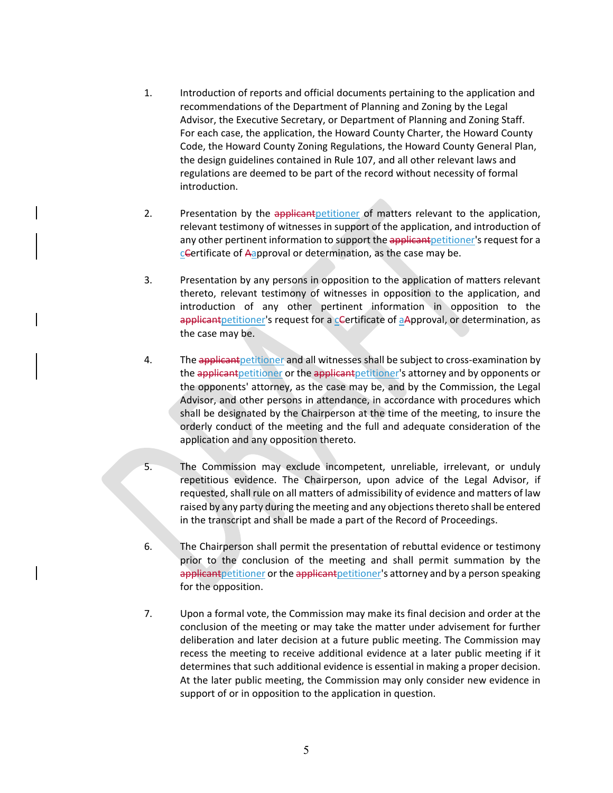- <span id="page-5-0"></span>1. Introduction of reports and official documents pertaining to the application and recommendations of the Department of Planning and Zoning by the Legal Advisor, the Executive Secretary, or Department of Planning and Zoning Staff. For each case, the application, the Howard County Charter, the Howard County Code, the Howard County Zoning Regulations, the Howard County General Plan, the design guidelines contained in Rule 107, and all other relevant laws and regulations are deemed to be part of the record without necessity of formal introduction.
- 2. Presentation by the applicant petitioner of matters relevant to the application, relevant testimony of witnesses in support of the application, and introduction of any other pertinent information to support the applicant petitioner's request for a cCertificate of Aapproval or determination, as the case may be.
- 3. Presentation by any persons in opposition to the application of matters relevant thereto, relevant testimony of witnesses in opposition to the application, and introduction of any other pertinent information in opposition to the applicant petitioner's request for a centificate of aApproval, or determination, as the case may be.
- 4. The applicant petitioner and all witnesses shall be subject to cross-examination by the applicant petitioner or the applicant petitioner's attorney and by opponents or the opponents' attorney, as the case may be, and by the Commission, the Legal Advisor, and other persons in attendance, in accordance with procedures which shall be designated by the Chairperson at the time of the meeting, to insure the orderly conduct of the meeting and the full and adequate consideration of the application and any opposition thereto.
- 5. The Commission may exclude incompetent, unreliable, irrelevant, or unduly repetitious evidence. The Chairperson, upon advice of the Legal Advisor, if requested, shall rule on all matters of admissibility of evidence and matters of law raised by any party during the meeting and any objections thereto shall be entered in the transcript and shall be made a part of the Record of Proceedings.
- 6. The Chairperson shall permit the presentation of rebuttal evidence or testimony prior to the conclusion of the meeting and shall permit summation by the applicant petitioner or the applicant petitioner's attorney and by a person speaking for the opposition.
- 7. Upon a formal vote, the Commission may make its final decision and order at the conclusion of the meeting or may take the matter under advisement for further deliberation and later decision at a future public meeting. The Commission may recess the meeting to receive additional evidence at a later public meeting if it determines that such additional evidence is essential in making a proper decision. At the later public meeting, the Commission may only consider new evidence in support of or in opposition to the application in question.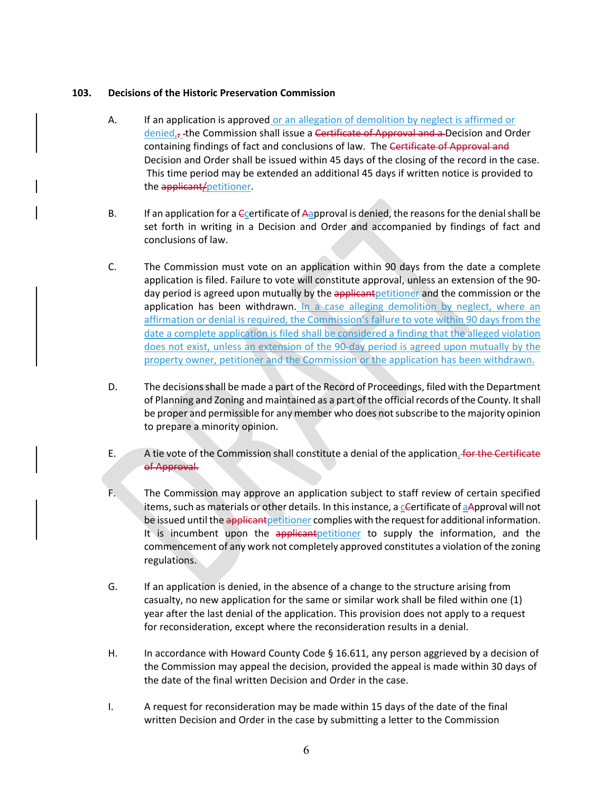# **103. Decisions of the Historic Preservation Commission**

- A. If an application is approved or an allegation of demolition by neglect is affirmed or denied,, the Commission shall issue a Certificate of Approval and a Decision and Order containing findings of fact and conclusions of law. The Certificate of Approval and Decision and Order shall be issued within 45 days of the closing of the record in the case. This time period may be extended an additional 45 days if written notice is provided to the applicant/petitioner.
- B. If an application for a  $\epsilon$  certificate of Aapproval is denied, the reasons for the denial shall be set forth in writing in a Decision and Order and accompanied by findings of fact and conclusions of law.
- C. The Commission must vote on an application within 90 days from the date a complete application is filed. Failure to vote will constitute approval, unless an extension of the 90 day period is agreed upon mutually by the applicant petitioner and the commission or the application has been withdrawn. In a case alleging demolition by neglect, where an affirmation or denial is required, the Commission's failure to vote within 90 days from the date a complete application is filed shall be considered a finding that the alleged violation does not exist, unless an extension of the 90-day period is agreed upon mutually by the property owner, petitioner and the Commission or the application has been withdrawn.
- D. The decisions shall be made a part of the Record of Proceedings, filed with the Department of Planning and Zoning and maintained as a part of the official records of the County. It shall be proper and permissible for any member who does not subscribe to the majority opinion to prepare a minority opinion.
- E. A tie vote of the Commission shall constitute a denial of the application. for the Certificate of Approval.
- F. The Commission may approve an application subject to staff review of certain specified items, such as materials or other details. In this instance, a cCertificate of aApproval will not be issued until the applicant petitioner complies with the request for additional information. It is incumbent upon the applicant petitioner to supply the information, and the commencement of any work not completely approved constitutes a violation of the zoning regulations.
- G. If an application is denied, in the absence of a change to the structure arising from casualty, no new application for the same or similar work shall be filed within one (1) year after the last denial of the application. This provision does not apply to a request for reconsideration, except where the reconsideration results in a denial.
- H. In accordance with Howard County Code § 16.611, any person aggrieved by a decision of the Commission may appeal the decision, provided the appeal is made within 30 days of the date of the final written Decision and Order in the case.
- I. A request for reconsideration may be made within 15 days of the date of the final written Decision and Order in the case by submitting a letter to the Commission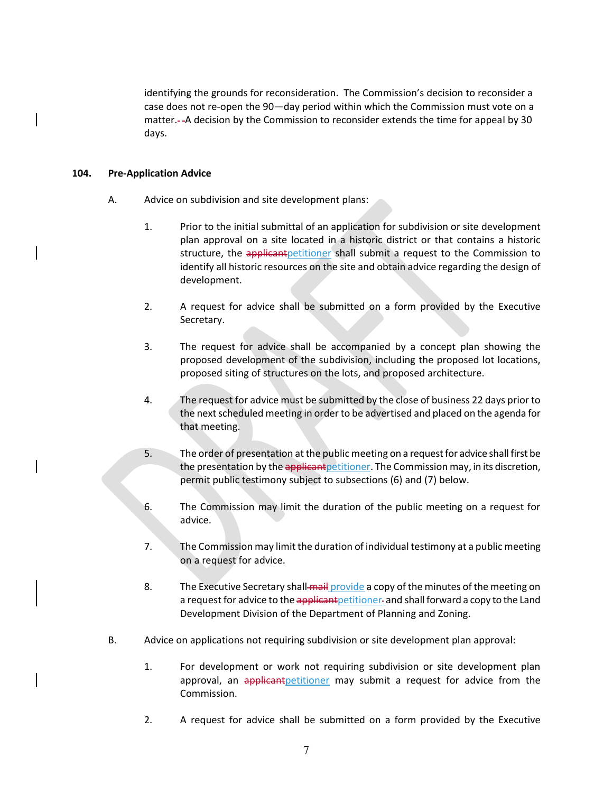identifying the grounds for reconsideration. The Commission's decision to reconsider a case does not re-open the 90—day period within which the Commission must vote on a matter. - - A decision by the Commission to reconsider extends the time for appeal by 30 days.

# <span id="page-7-0"></span>**104. Pre-Application Advice**

- A. Advice on subdivision and site development plans:
	- 1. Prior to the initial submittal of an application for subdivision or site development plan approval on a site located in a historic district or that contains a historic structure, the applicant petitioner shall submit a request to the Commission to identify all historic resources on the site and obtain advice regarding the design of development.
	- 2. A request for advice shall be submitted on a form provided by the Executive Secretary.
	- 3. The request for advice shall be accompanied by a concept plan showing the proposed development of the subdivision, including the proposed lot locations, proposed siting of structures on the lots, and proposed architecture.
	- 4. The request for advice must be submitted by the close of business 22 days prior to the next scheduled meeting in order to be advertised and placed on the agenda for that meeting.
	- 5. The order of presentation at the public meeting on a request for advice shall first be the presentation by the applicant petitioner. The Commission may, in its discretion, permit public testimony subject to subsections (6) and (7) below.
	- 6. The Commission may limit the duration of the public meeting on a request for advice.
	- 7. The Commission may limit the duration of individual testimony at a public meeting on a request for advice.
	- 8. The Executive Secretary shall mail provide a copy of the minutes of the meeting on a request for advice to the applicant petitioner- and shall forward a copy to the Land Development Division of the Department of Planning and Zoning.
- B. Advice on applications not requiring subdivision or site development plan approval:
	- 1. For development or work not requiring subdivision or site development plan approval, an applicant petitioner may submit a request for advice from the Commission.
	- 2. A request for advice shall be submitted on a form provided by the Executive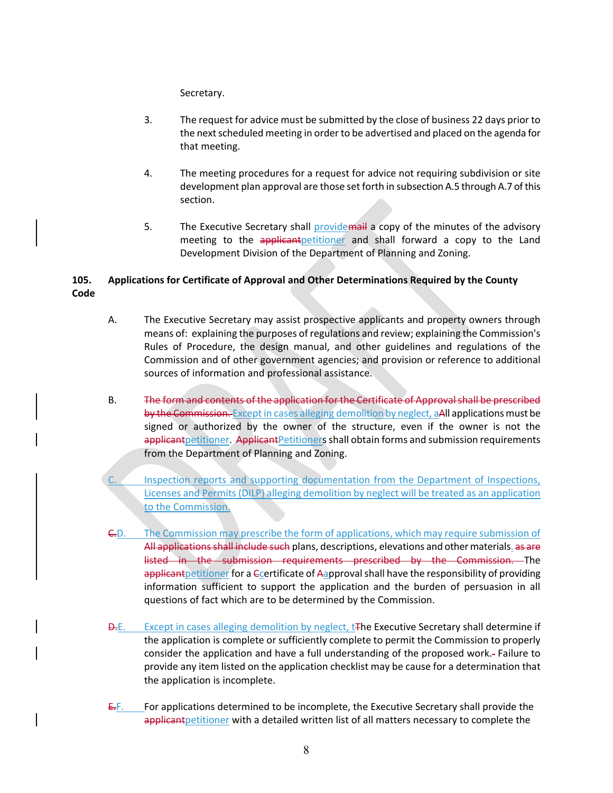Secretary.

- 3. The request for advice must be submitted by the close of business 22 days prior to the next scheduled meeting in order to be advertised and placed on the agenda for that meeting.
- 4. The meeting procedures for a request for advice not requiring subdivision or site development plan approval are those set forth in subsection A.5 through A.7 of this section.
- 5. The Executive Secretary shall providemail a copy of the minutes of the advisory meeting to the applicantpetitioner and shall forward a copy to the Land Development Division of the Department of Planning and Zoning.

# <span id="page-8-0"></span>**105. Applications for Certificate of Approval and Other Determinations Required by the County Code**

- A. The Executive Secretary may assist prospective applicants and property owners through means of: explaining the purposes of regulations and review; explaining the Commission's Rules of Procedure, the design manual, and other guidelines and regulations of the Commission and of other government agencies; and provision or reference to additional sources of information and professional assistance.
- B. The form and contents of the application for the Certificate of Approval shall be prescribed by the Commission. Except in cases alleging demolition by neglect, aAll applications must be signed or authorized by the owner of the structure, even if the owner is not the applicant petitioner. Applicant Petitioners shall obtain forms and submission requirements from the Department of Planning and Zoning.
- Inspection reports and supporting documentation from the Department of Inspections, Licenses and Permits(DILP) alleging demolition by neglect will be treated as an application to the Commission.
- C.D. The Commission may prescribe the form of applications, which may require submission of All applications shall include such plans, descriptions, elevations and other materials. as are listed in the submission requirements prescribed by the Commission. The applicant petitioner for a Ccertificate of Aapproval shall have the responsibility of providing information sufficient to support the application and the burden of persuasion in all questions of fact which are to be determined by the Commission.
- **D.E.** Except in cases alleging demolition by neglect, t<sub>ree</sub> Executive Secretary shall determine if the application is complete or sufficiently complete to permit the Commission to properly consider the application and have a full understanding of the proposed work. Failure to provide any item listed on the application checklist may be cause for a determination that the application is incomplete.
- $E/F.$  For applications determined to be incomplete, the Executive Secretary shall provide the applicant petitioner with a detailed written list of all matters necessary to complete the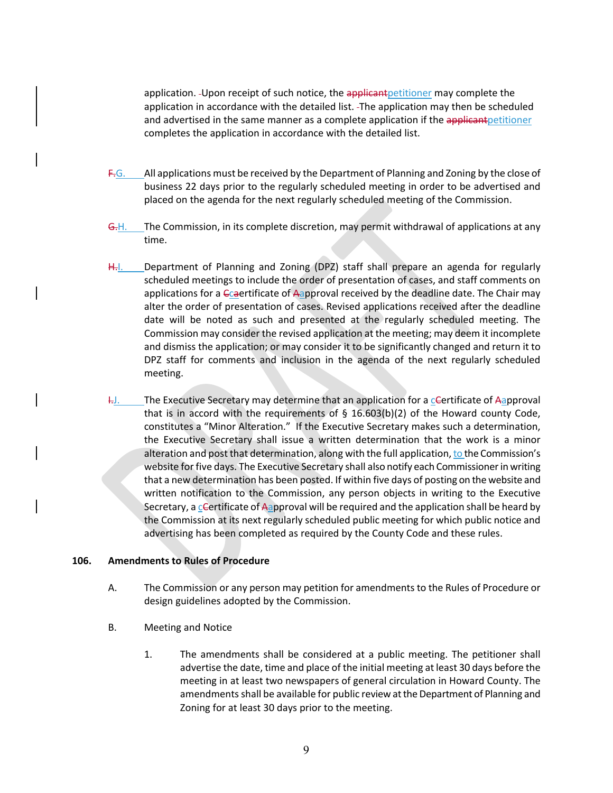application. - Upon receipt of such notice, the applicant petitioner may complete the application in accordance with the detailed list. The application may then be scheduled and advertised in the same manner as a complete application if the applicant petitioner completes the application in accordance with the detailed list.

- $F-G.$  All applications must be received by the Department of Planning and Zoning by the close of business 22 days prior to the regularly scheduled meeting in order to be advertised and placed on the agenda for the next regularly scheduled meeting of the Commission.
- G.H. The Commission, in its complete discretion, may permit withdrawal of applications at any time.
- H.I. Department of Planning and Zoning (DPZ) staff shall prepare an agenda for regularly scheduled meetings to include the order of presentation of cases, and staff comments on applications for a  $\epsilon$  caertificate of Aapproval received by the deadline date. The Chair may alter the order of presentation of cases. Revised applications received after the deadline date will be noted as such and presented at the regularly scheduled meeting. The Commission may consider the revised application at the meeting; may deem it incomplete and dismiss the application; or may consider it to be significantly changed and return it to DPZ staff for comments and inclusion in the agenda of the next regularly scheduled meeting.
- $H$ . The Executive Secretary may determine that an application for a cGertificate of Aapproval that is in accord with the requirements of  $\S$  16.603(b)(2) of the Howard county Code, constitutes a "Minor Alteration." If the Executive Secretary makes such a determination, the Executive Secretary shall issue a written determination that the work is a minor alteration and post that determination, along with the full application, to the Commission's website for five days. The Executive Secretary shall also notify each Commissioner in writing that a new determination has been posted. If within five days of posting on the website and written notification to the Commission, any person objects in writing to the Executive Secretary, a certificate of Aapproval will be required and the application shall be heard by the Commission at its next regularly scheduled public meeting for which public notice and advertising has been completed as required by the County Code and these rules.

# <span id="page-9-0"></span>**106. Amendments to Rules of Procedure**

- A. The Commission or any person may petition for amendments to the Rules of Procedure or design guidelines adopted by the Commission.
- B. Meeting and Notice
	- 1. The amendments shall be considered at a public meeting. The petitioner shall advertise the date, time and place of the initial meeting at least 30 days before the meeting in at least two newspapers of general circulation in Howard County. The amendments shall be available for public review at the Department of Planning and Zoning for at least 30 days prior to the meeting.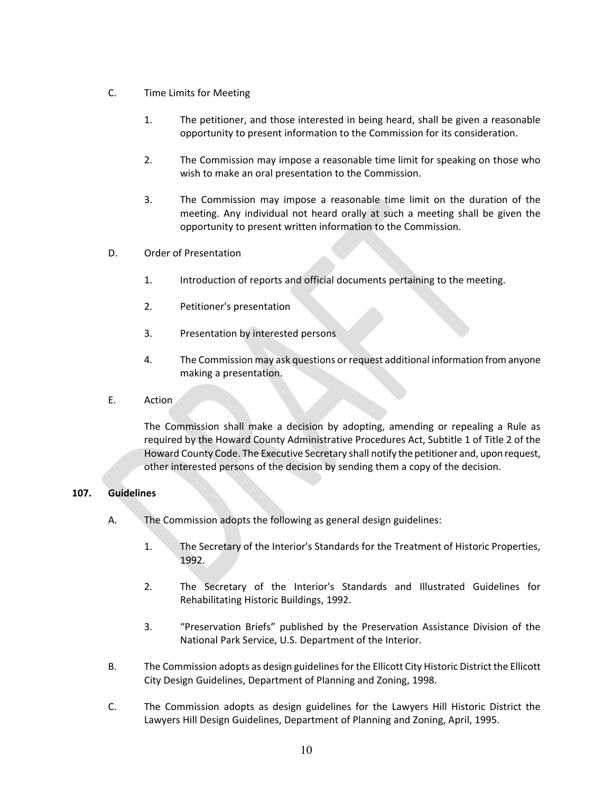- C. Time Limits for Meeting
	- 1. The petitioner, and those interested in being heard, shall be given a reasonable opportunity to present information to the Commission for its consideration.
	- 2. The Commission may impose a reasonable time limit for speaking on those who wish to make an oral presentation to the Commission.
	- 3. The Commission may impose a reasonable time limit on the duration of the meeting. Any individual not heard orally at such a meeting shall be given the opportunity to present written information to the Commission.
- D. Order of Presentation
	- 1. Introduction of reports and official documents pertaining to the meeting.
	- 2. Petitioner's presentation
	- 3. Presentation by interested persons
	- 4. The Commission may ask questions or request additional information from anyone making a presentation.
- E. Action

The Commission shall make a decision by adopting, amending or repealing a Rule as required by the Howard County Administrative Procedures Act, Subtitle 1 of Title 2 of the Howard County Code. The Executive Secretary shall notify the petitioner and, upon request, other interested persons of the decision by sending them a copy of the decision.

# <span id="page-10-0"></span>**107. Guidelines**

- A. The Commission adopts the following as general design guidelines:
	- 1. The Secretary of the Interior's Standards for the Treatment of Historic Properties, 1992.
	- 2. The Secretary of the Interior's Standards and Illustrated Guidelines for Rehabilitating Historic Buildings, 1992.
	- 3. "Preservation Briefs" published by the Preservation Assistance Division of the National Park Service, U.S. Department of the Interior.
- B. The Commission adopts as design guidelinesfor the Ellicott City Historic District the Ellicott City Design Guidelines, Department of Planning and Zoning, 1998.
- C. The Commission adopts as design guidelines for the Lawyers Hill Historic District the Lawyers Hill Design Guidelines, Department of Planning and Zoning, April, 1995.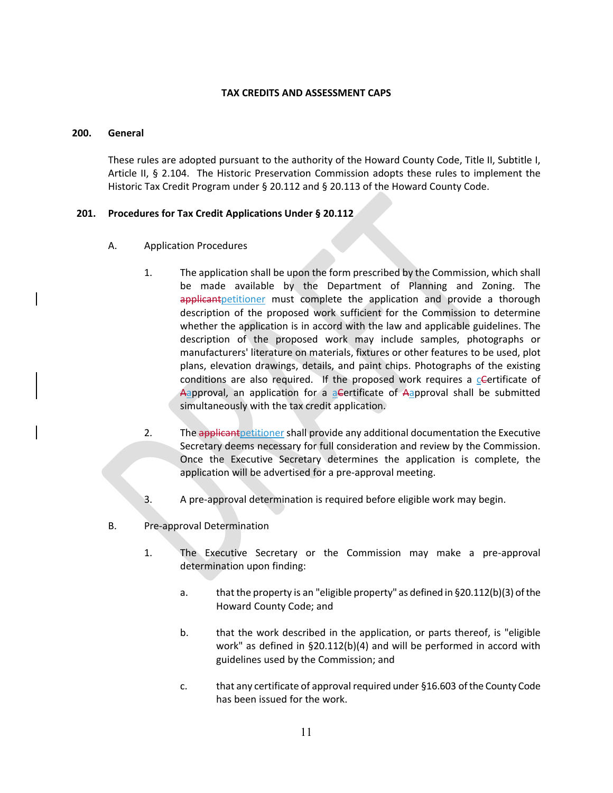# **TAX CREDITS AND ASSESSMENT CAPS**

### <span id="page-11-1"></span><span id="page-11-0"></span>**200. General**

These rules are adopted pursuant to the authority of the Howard County Code, Title II, Subtitle I, Article II, § 2.104. The Historic Preservation Commission adopts these rules to implement the Historic Tax Credit Program under § 20.112 and § 20.113 of the Howard County Code.

# <span id="page-11-2"></span>**201. Procedures for Tax Credit Applications Under § 20.112**

- A. Application Procedures
	- 1. The application shall be upon the form prescribed by the Commission, which shall be made available by the Department of Planning and Zoning. The applicant petitioner must complete the application and provide a thorough description of the proposed work sufficient for the Commission to determine whether the application is in accord with the law and applicable guidelines. The description of the proposed work may include samples, photographs or manufacturers' literature on materials, fixtures or other features to be used, plot plans, elevation drawings, details, and paint chips. Photographs of the existing conditions are also required. If the proposed work requires a  $c$ Certificate of Aapproval, an application for a aCertificate of Aapproval shall be submitted simultaneously with the tax credit application.
	- 2. The applicant petitioner shall provide any additional documentation the Executive Secretary deems necessary for full consideration and review by the Commission. Once the Executive Secretary determines the application is complete, the application will be advertised for a pre-approval meeting.
	- 3. A pre-approval determination is required before eligible work may begin.
- B. Pre-approval Determination
	- 1. The Executive Secretary or the Commission may make a pre-approval determination upon finding:
		- a. that the property is an "eligible property" as defined in §20.112(b)(3) of the Howard County Code; and
		- b. that the work described in the application, or parts thereof, is "eligible work" as defined in §20.112(b)(4) and will be performed in accord with guidelines used by the Commission; and
		- c. that any certificate of approval required under §16.603 of the County Code has been issued for the work.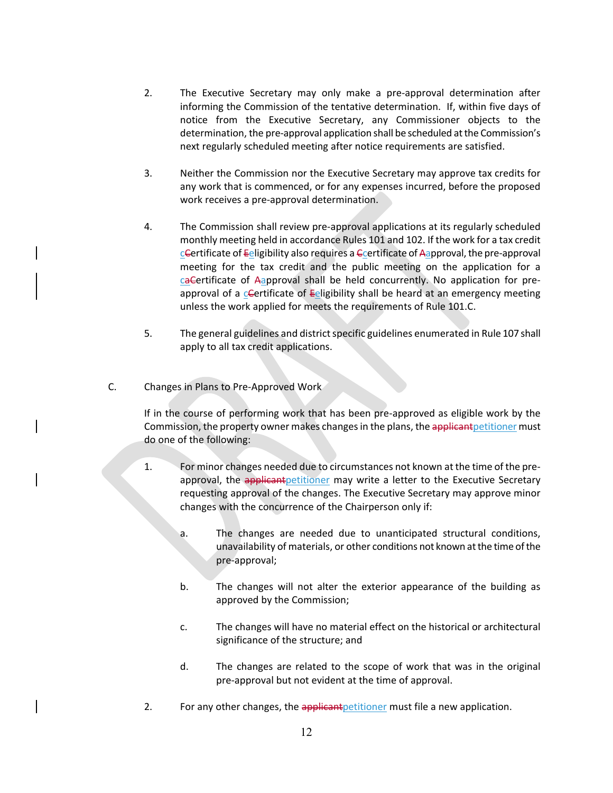- 2. The Executive Secretary may only make a pre-approval determination after informing the Commission of the tentative determination. If, within five days of notice from the Executive Secretary, any Commissioner objects to the determination, the pre-approval application shall be scheduled at the Commission's next regularly scheduled meeting after notice requirements are satisfied.
- 3. Neither the Commission nor the Executive Secretary may approve tax credits for any work that is commenced, or for any expenses incurred, before the proposed work receives a pre-approval determination.
- 4. The Commission shall review pre-approval applications at its regularly scheduled monthly meeting held in accordance Rules 101 and 102. If the work for a tax credit  $c$ Certificate of Eeligibility also requires a Ccertificate of Aapproval, the pre-approval meeting for the tax credit and the public meeting on the application for a caCertificate of Aapproval shall be held concurrently. No application for preapproval of a cGertificate of Eeligibility shall be heard at an emergency meeting unless the work applied for meets the requirements of Rule 101.C.
- 5. The general guidelines and district specific guidelines enumerated in Rule 107 shall apply to all tax credit applications.
- C. Changes in Plans to Pre-Approved Work

If in the course of performing work that has been pre-approved as eligible work by the Commission, the property owner makes changes in the plans, the applicant petitioner must do one of the following:

- 1. For minor changes needed due to circumstances not known at the time of the preapproval, the applicant petitioner may write a letter to the Executive Secretary requesting approval of the changes. The Executive Secretary may approve minor changes with the concurrence of the Chairperson only if:
	- a. The changes are needed due to unanticipated structural conditions, unavailability of materials, or other conditions not known at the time of the pre-approval;
	- b. The changes will not alter the exterior appearance of the building as approved by the Commission;
	- c. The changes will have no material effect on the historical or architectural significance of the structure; and
	- d. The changes are related to the scope of work that was in the original pre-approval but not evident at the time of approval.
- 2. For any other changes, the applicant petitioner must file a new application.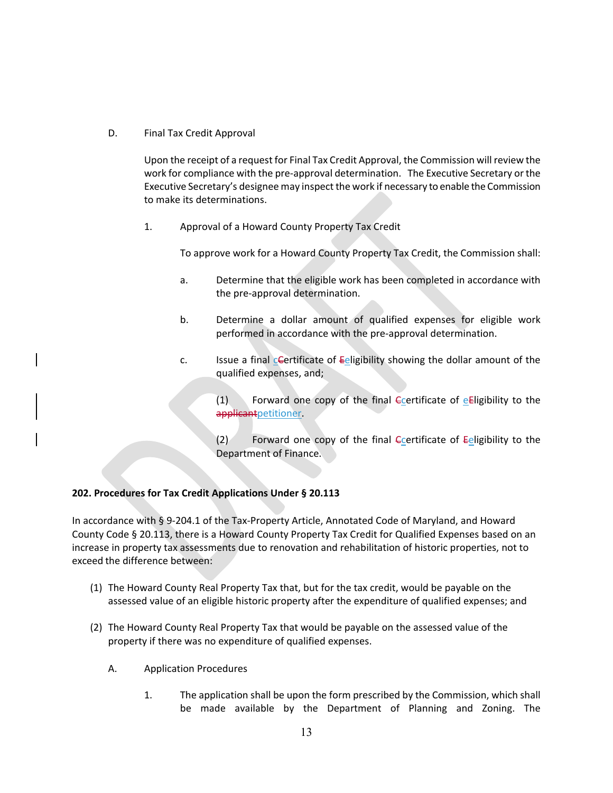D. Final Tax Credit Approval

Upon the receipt of a request for Final Tax Credit Approval, the Commission will review the work for compliance with the pre-approval determination. The Executive Secretary or the Executive Secretary's designee may inspect the work if necessary to enable the Commission to make its determinations.

1. Approval of a Howard County Property Tax Credit

To approve work for a Howard County Property Tax Credit, the Commission shall:

- a. Determine that the eligible work has been completed in accordance with the pre-approval determination.
- b. Determine a dollar amount of qualified expenses for eligible work performed in accordance with the pre-approval determination.
- c. Issue a final cCertificate of Eeligibility showing the dollar amount of the qualified expenses, and;

 $(1)$  Forward one copy of the final Ecertificate of eEligibility to the applicantpetitioner.

(2) Forward one copy of the final  $\epsilon$  certificate of  $\epsilon$  eligibility to the Department of Finance.

# <span id="page-13-0"></span>**202. Procedures for Tax Credit Applications Under § 20.113**

In accordance with § 9-204.1 of the Tax-Property Article, Annotated Code of Maryland, and Howard County Code § 20.113, there is a Howard County Property Tax Credit for Qualified Expenses based on an increase in property tax assessments due to renovation and rehabilitation of historic properties, not to exceed the difference between:

- (1) The Howard County Real Property Tax that, but for the tax credit, would be payable on the assessed value of an eligible historic property after the expenditure of qualified expenses; and
- (2) The Howard County Real Property Tax that would be payable on the assessed value of the property if there was no expenditure of qualified expenses.
	- A. Application Procedures
		- 1. The application shall be upon the form prescribed by the Commission, which shall be made available by the Department of Planning and Zoning. The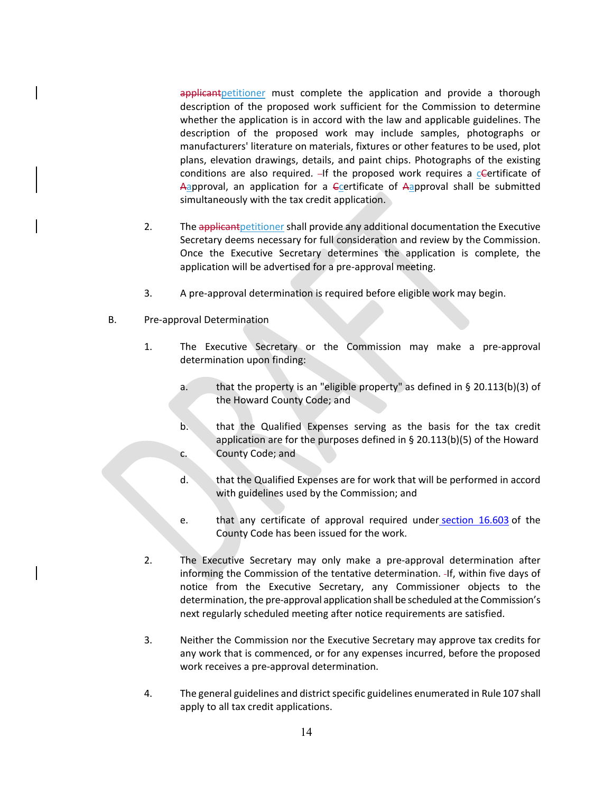applicant petitioner must complete the application and provide a thorough description of the proposed work sufficient for the Commission to determine whether the application is in accord with the law and applicable guidelines. The description of the proposed work may include samples, photographs or manufacturers' literature on materials, fixtures or other features to be used, plot plans, elevation drawings, details, and paint chips. Photographs of the existing conditions are also required.  $-If$  the proposed work requires a c-Certificate of Aapproval, an application for a Ccertificate of Aapproval shall be submitted simultaneously with the tax credit application.

- 2. The applicant petitioner shall provide any additional documentation the Executive Secretary deems necessary for full consideration and review by the Commission. Once the Executive Secretary determines the application is complete, the application will be advertised for a pre-approval meeting.
- 3. A pre-approval determination is required before eligible work may begin.
- B. Pre-approval Determination
	- 1. The Executive Secretary or the Commission may make a pre-approval determination upon finding:
		- a. that the property is an "eligible property" as defined in § 20.113(b)(3) of the Howard County Code; and
		- b. that the Qualified Expenses serving as the basis for the tax credit application are for the purposes defined in § 20.113(b)(5) of the Howard c. County Code; and
		- d. that the Qualified Expenses are for work that will be performed in accord with guidelines used by the Commission; and
		- e. that any certificate of approval required under [section 16.603](https://www.municode.com/library/md/howard_county/codes/code_of_ordinances?nodeId=HOCOCO_TIT16PLZOSULADERE_SUBTITLE_6HIPRCO_S16.603CEAP) of the County Code has been issued for the work.
	- 2. The Executive Secretary may only make a pre-approval determination after informing the Commission of the tentative determination. -If, within five days of notice from the Executive Secretary, any Commissioner objects to the determination, the pre-approval application shall be scheduled at the Commission's next regularly scheduled meeting after notice requirements are satisfied.
	- 3. Neither the Commission nor the Executive Secretary may approve tax credits for any work that is commenced, or for any expenses incurred, before the proposed work receives a pre-approval determination.
	- 4. The general guidelines and district specific guidelines enumerated in Rule 107 shall apply to all tax credit applications.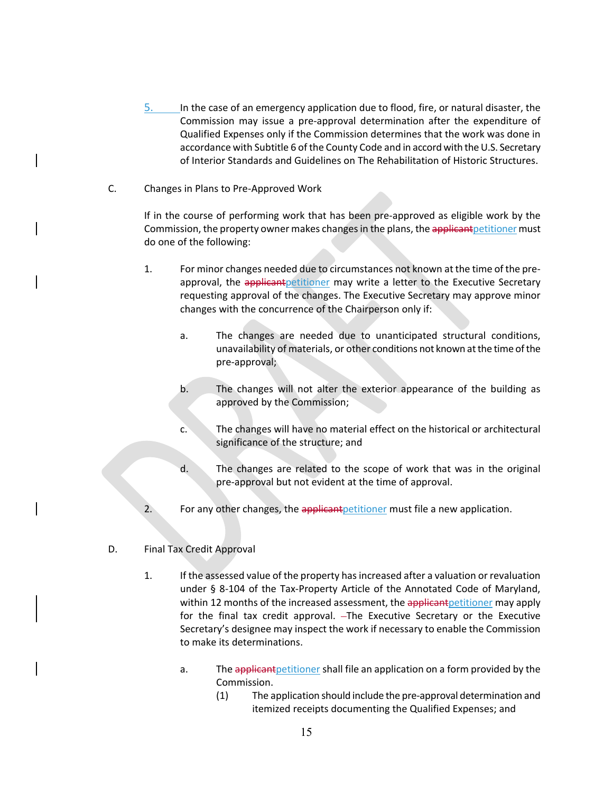- 5. In the case of an emergency application due to flood, fire, or natural disaster, the Commission may issue a pre-approval determination after the expenditure of Qualified Expenses only if the Commission determines that the work was done in accordance with Subtitle 6 of the County Code and in accord with the U.S. Secretary of Interior Standards and Guidelines on The Rehabilitation of Historic Structures.
- C. Changes in Plans to Pre-Approved Work

If in the course of performing work that has been pre-approved as eligible work by the Commission, the property owner makes changes in the plans, the applicant petitioner must do one of the following:

- 1. For minor changes needed due to circumstances not known at the time of the preapproval, the applicant petitioner may write a letter to the Executive Secretary requesting approval of the changes. The Executive Secretary may approve minor changes with the concurrence of the Chairperson only if:
	- a. The changes are needed due to unanticipated structural conditions, unavailability of materials, or other conditions not known at the time of the pre-approval;
	- b. The changes will not alter the exterior appearance of the building as approved by the Commission;
	- c. The changes will have no material effect on the historical or architectural significance of the structure; and
	- d. The changes are related to the scope of work that was in the original pre-approval but not evident at the time of approval.
- 2. For any other changes, the applicant petitioner must file a new application.
- D. Final Tax Credit Approval
	- 1. If the assessed value of the property has increased after a valuation or revaluation under § 8-104 of the Tax-Property Article of the Annotated Code of Maryland, within 12 months of the increased assessment, the applicant petitioner may apply for the final tax credit approval. - The Executive Secretary or the Executive Secretary's designee may inspect the work if necessary to enable the Commission to make its determinations.
		- a. The applicant petitioner shall file an application on a form provided by the Commission.
			- (1) The application should include the pre-approval determination and itemized receipts documenting the Qualified Expenses; and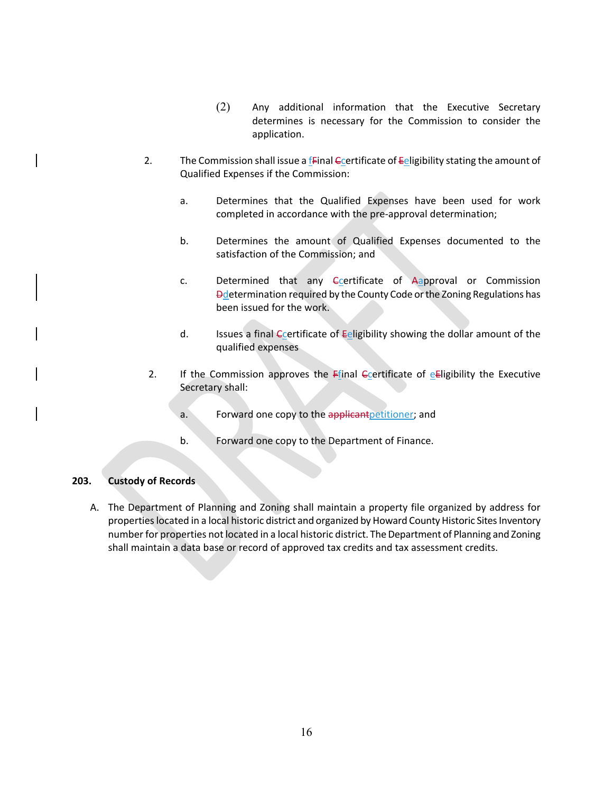- (2) Any additional information that the Executive Secretary determines is necessary for the Commission to consider the application.
- 2. The Commission shall issue a  $f$ -Final Contracture of Eeligibility stating the amount of Qualified Expenses if the Commission:
	- a. Determines that the Qualified Expenses have been used for work completed in accordance with the pre-approval determination;
	- b. Determines the amount of Qualified Expenses documented to the satisfaction of the Commission; and
	- c. Determined that any Ccertificate of Aapproval or Commission **Ddetermination required by the County Code or the Zoning Regulations has** been issued for the work.
	- d. Issues a final  $\epsilon$  certificate of  $\epsilon$  eligibility showing the dollar amount of the qualified expenses
- 2. If the Commission approves the Ffinal  $C$  et and  $C$  e Eligibility the Executive Secretary shall:
	- a. Forward one copy to the applicant petitioner; and
	- b. Forward one copy to the Department of Finance.

### <span id="page-16-0"></span>**203. Custody of Records**

A. The Department of Planning and Zoning shall maintain a property file organized by address for properties located in a local historic district and organized by Howard County Historic Sites Inventory number for properties not located in a local historic district. The Department of Planning and Zoning shall maintain a data base or record of approved tax credits and tax assessment credits.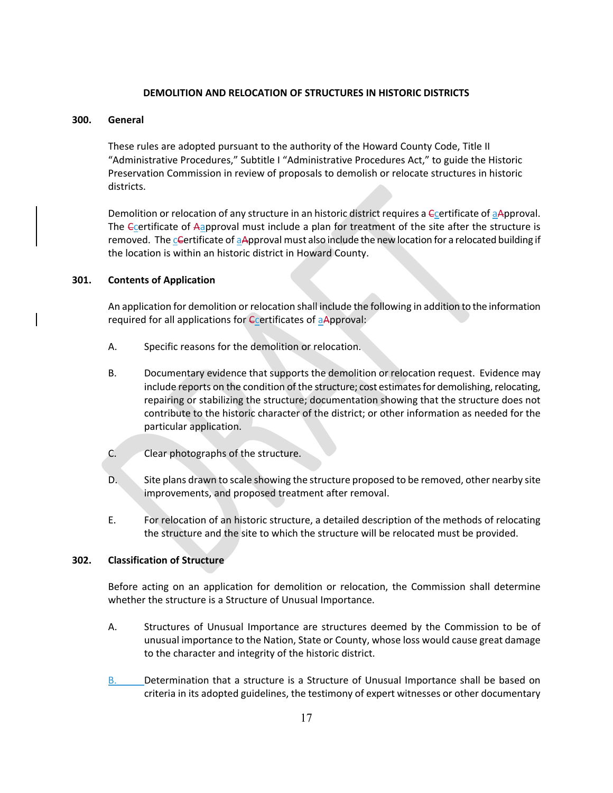#### **DEMOLITION AND RELOCATION OF STRUCTURES IN HISTORIC DISTRICTS**

#### <span id="page-17-1"></span><span id="page-17-0"></span>**300. General**

These rules are adopted pursuant to the authority of the Howard County Code, Title II "Administrative Procedures," Subtitle I "Administrative Procedures Act," to guide the Historic Preservation Commission in review of proposals to demolish or relocate structures in historic districts.

Demolition or relocation of any structure in an historic district requires a Ccertificate of aApproval. The Ccertificate of Aapproval must include a plan for treatment of the site after the structure is removed. The cGertificate of aApproval must also include the new location for a relocated building if the location is within an historic district in Howard County.

#### <span id="page-17-2"></span>**301. Contents of Application**

An application for demolition or relocation shall include the following in addition to the information required for all applications for *Ccertificates* of aApproval:

- A. Specific reasons for the demolition or relocation.
- B. Documentary evidence that supports the demolition or relocation request. Evidence may include reports on the condition of the structure; cost estimates for demolishing, relocating, repairing or stabilizing the structure; documentation showing that the structure does not contribute to the historic character of the district; or other information as needed for the particular application.
- C. Clear photographs of the structure.
- D. Site plans drawn to scale showing the structure proposed to be removed, other nearby site improvements, and proposed treatment after removal.
- E. For relocation of an historic structure, a detailed description of the methods of relocating the structure and the site to which the structure will be relocated must be provided.

#### <span id="page-17-3"></span>**302. Classification of Structure**

Before acting on an application for demolition or relocation, the Commission shall determine whether the structure is a Structure of Unusual Importance.

- A. Structures of Unusual Importance are structures deemed by the Commission to be of unusual importance to the Nation, State or County, whose loss would cause great damage to the character and integrity of the historic district.
- B. Determination that a structure is a Structure of Unusual Importance shall be based on criteria in its adopted guidelines, the testimony of expert witnesses or other documentary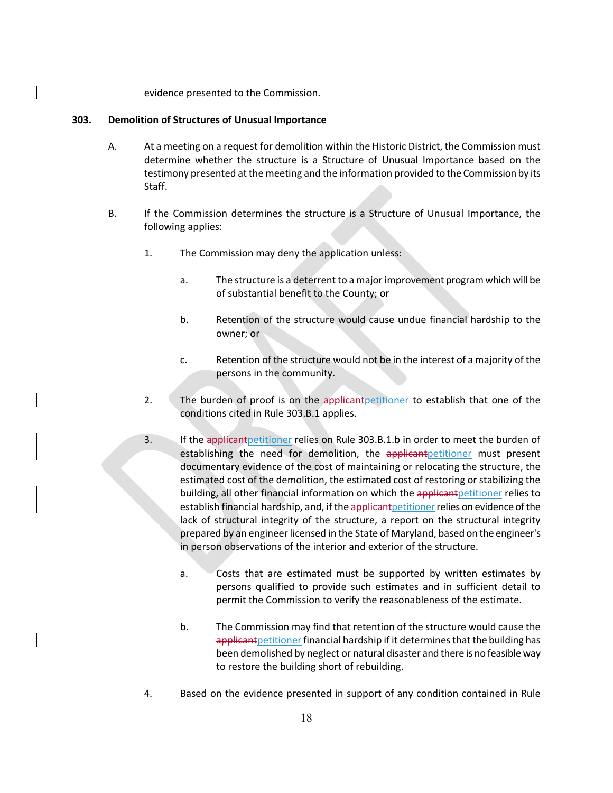evidence presented to the Commission.

#### <span id="page-18-0"></span>**303. Demolition of Structures of Unusual Importance**

- A. At a meeting on a request for demolition within the Historic District, the Commission must determine whether the structure is a Structure of Unusual Importance based on the testimony presented at the meeting and the information provided to the Commission by its Staff.
- B. If the Commission determines the structure is a Structure of Unusual Importance, the following applies:
	- 1. The Commission may deny the application unless:
		- a. The structure is a deterrent to a major improvement program which will be of substantial benefit to the County; or
		- b. Retention of the structure would cause undue financial hardship to the owner; or
		- c. Retention of the structure would not be in the interest of a majority of the persons in the community.
	- 2. The burden of proof is on the applicant petitioner to establish that one of the conditions cited in Rule 303.B.1 applies.
	- 3. If the applicant petitioner relies on Rule 303.B.1.b in order to meet the burden of establishing the need for demolition, the applicant petitioner must present documentary evidence of the cost of maintaining or relocating the structure, the estimated cost of the demolition, the estimated cost of restoring or stabilizing the building, all other financial information on which the applicant petitioner relies to establish financial hardship, and, if the applicant petitioner relies on evidence of the lack of structural integrity of the structure, a report on the structural integrity prepared by an engineer licensed in the State of Maryland, based on the engineer's in person observations of the interior and exterior of the structure.
		- a. Costs that are estimated must be supported by written estimates by persons qualified to provide such estimates and in sufficient detail to permit the Commission to verify the reasonableness of the estimate.
		- b. The Commission may find that retention of the structure would cause the applicant petitioner financial hardship if it determines that the building has been demolished by neglect or natural disaster and there is no feasible way to restore the building short of rebuilding.
	- 4. Based on the evidence presented in support of any condition contained in Rule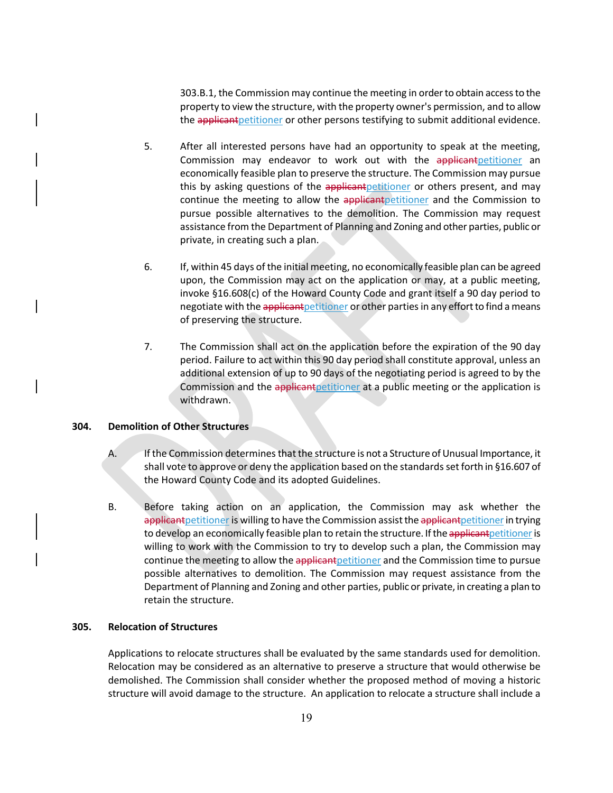303.B.1, the Commission may continue the meeting in order to obtain accessto the property to view the structure, with the property owner's permission, and to allow the applicant petitioner or other persons testifying to submit additional evidence.

- 5. After all interested persons have had an opportunity to speak at the meeting, Commission may endeavor to work out with the applicant petitioner an economically feasible plan to preserve the structure. The Commission may pursue this by asking questions of the applicant petitioner or others present, and may continue the meeting to allow the applicant petitioner and the Commission to pursue possible alternatives to the demolition. The Commission may request assistance from the Department of Planning and Zoning and other parties, public or private, in creating such a plan.
- 6. If, within 45 days of the initial meeting, no economically feasible plan can be agreed upon, the Commission may act on the application or may, at a public meeting, invoke §16.608(c) of the Howard County Code and grant itself a 90 day period to negotiate with the applicant petitioner or other parties in any effort to find a means of preserving the structure.
- 7. The Commission shall act on the application before the expiration of the 90 day period. Failure to act within this 90 day period shall constitute approval, unless an additional extension of up to 90 days of the negotiating period is agreed to by the Commission and the applicant petitioner at a public meeting or the application is withdrawn.

# <span id="page-19-0"></span>**304. Demolition of Other Structures**

- A. If the Commission determines that the structure is not a Structure of Unusual Importance, it shall vote to approve or deny the application based on the standards set forth in §16.607 of the Howard County Code and its adopted Guidelines.
- B. Before taking action on an application, the Commission may ask whether the applicant petitioner is willing to have the Commission assist the applicant petitioner in trying to develop an economically feasible plan to retain the structure. If the applicant petitioner is willing to work with the Commission to try to develop such a plan, the Commission may continue the meeting to allow the applicant petitioner and the Commission time to pursue possible alternatives to demolition. The Commission may request assistance from the Department of Planning and Zoning and other parties, public or private, in creating a plan to retain the structure.

#### <span id="page-19-1"></span>**305. Relocation of Structures**

Applications to relocate structures shall be evaluated by the same standards used for demolition. Relocation may be considered as an alternative to preserve a structure that would otherwise be demolished. The Commission shall consider whether the proposed method of moving a historic structure will avoid damage to the structure. An application to relocate a structure shall include a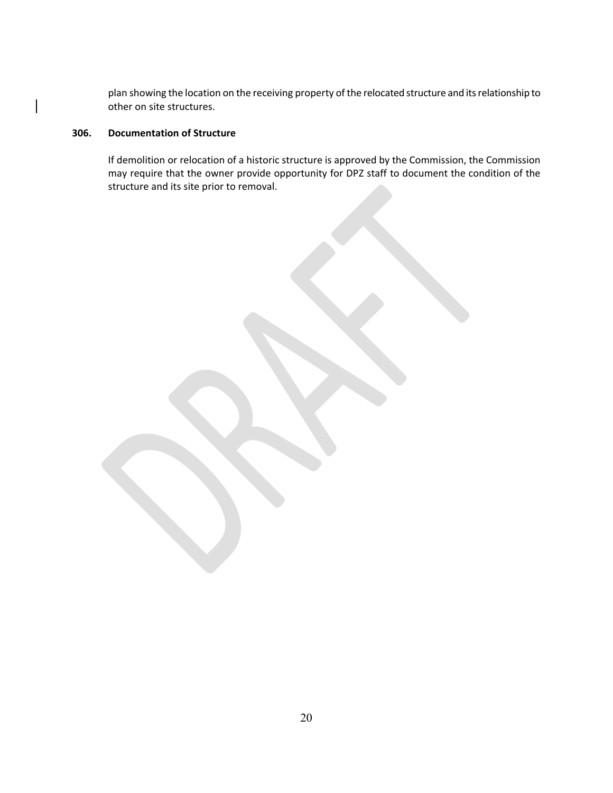<span id="page-20-1"></span>plan showing the location on the receiving property of the relocated structure and its relationship to other on site structures.

# <span id="page-20-0"></span>**306. Documentation of Structure**

If demolition or relocation of a historic structure is approved by the Commission, the Commission may require that the owner provide opportunity for DPZ staff to document the condition of the structure and its site prior to removal.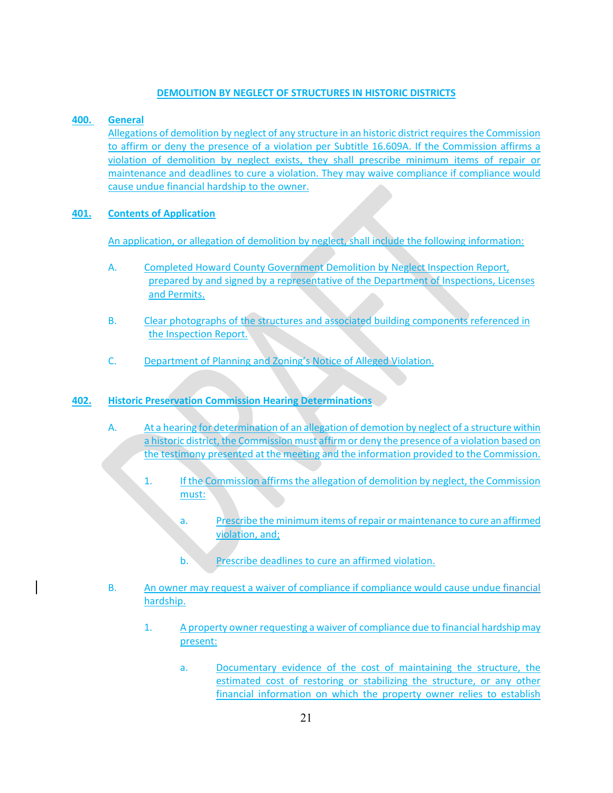# **DEMOLITION BY NEGLECT OF STRUCTURES IN HISTORIC DISTRICTS**

# <span id="page-21-0"></span>**400. General**

Allegations of demolition by neglect of any structure in an historic district requires the Commission to affirm or deny the presence of a violation per Subtitle 16.609A. If the Commission affirms a violation of demolition by neglect exists, they shall prescribe minimum items of repair or maintenance and deadlines to cure a violation. They may waive compliance if compliance would cause undue financial hardship to the owner.

# <span id="page-21-1"></span>**401. Contents of Application**

An application, or allegation of demolition by neglect, shall include the following information:

- A. Completed Howard County Government Demolition by Neglect Inspection Report, prepared by and signed by a representative of the Department of Inspections, Licenses and Permits.
- B. Clear photographs of the structures and associated building components referenced in the Inspection Report.
- C. Department of Planning and Zoning's Notice of Alleged Violation.

# <span id="page-21-2"></span>**402. Historic Preservation Commission Hearing Determinations**

- A. At a hearing for determination of an allegation of demotion by neglect of a structure within a historic district, the Commission must affirm or deny the presence of a violation based on the testimony presented at the meeting and the information provided to the Commission.
	- 1. If the Commission affirms the allegation of demolition by neglect, the Commission must:
		- a. Prescribe the minimum items of repair or maintenance to cure an affirmed violation, and;
		- b. Prescribe deadlines to cure an affirmed violation.
- B. An owner may request a waiver of compliance if compliance would cause undue financial hardship.
	- 1. A property owner requesting a waiver of compliance due to financial hardshipmay present:
		- a. Documentary evidence of the cost of maintaining the structure, the estimated cost of restoring or stabilizing the structure, or any other financial information on which the property owner relies to establish